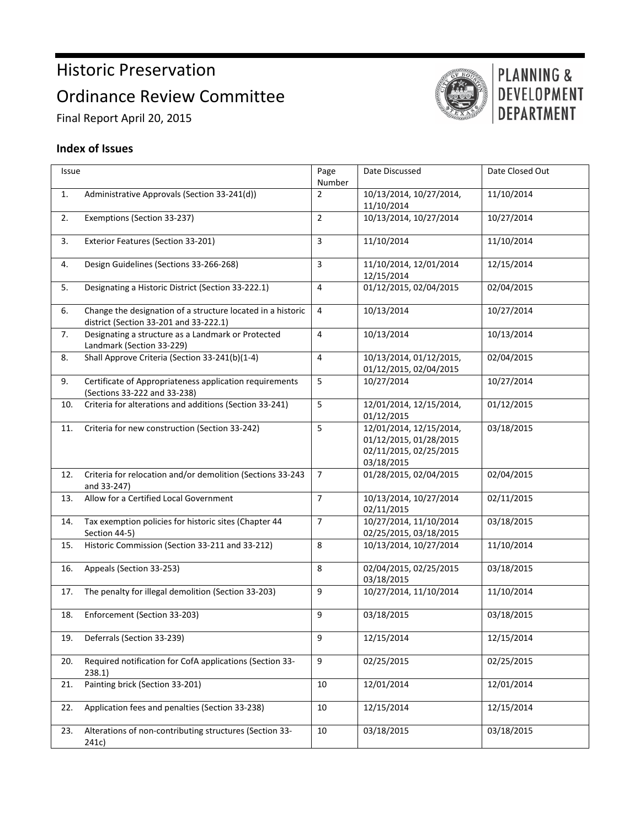# Historic Preservation Ordinance Review Committee

Final Report April 20, 2015



# PLANNING & DEVELOPMENT **DEPARTMENT**

# **Index of Issues**

| Issue |                                                                                                       | Page<br>Number | Date Discussed                                                                            | Date Closed Out |
|-------|-------------------------------------------------------------------------------------------------------|----------------|-------------------------------------------------------------------------------------------|-----------------|
| 1.    | Administrative Approvals (Section 33-241(d))                                                          | $\overline{2}$ | 10/13/2014, 10/27/2014,<br>11/10/2014                                                     | 11/10/2014      |
| 2.    | Exemptions (Section 33-237)                                                                           | $\overline{2}$ | 10/13/2014, 10/27/2014                                                                    | 10/27/2014      |
| 3.    | Exterior Features (Section 33-201)                                                                    | 3              | 11/10/2014                                                                                | 11/10/2014      |
| 4.    | Design Guidelines (Sections 33-266-268)                                                               | 3              | 11/10/2014, 12/01/2014<br>12/15/2014                                                      | 12/15/2014      |
| 5.    | Designating a Historic District (Section 33-222.1)                                                    | $\overline{4}$ | 01/12/2015, 02/04/2015                                                                    | 02/04/2015      |
| 6.    | Change the designation of a structure located in a historic<br>district (Section 33-201 and 33-222.1) | $\overline{4}$ | 10/13/2014                                                                                | 10/27/2014      |
| 7.    | Designating a structure as a Landmark or Protected<br>Landmark (Section 33-229)                       | 4              | 10/13/2014                                                                                | 10/13/2014      |
| 8.    | Shall Approve Criteria (Section 33-241(b)(1-4)                                                        | 4              | 10/13/2014, 01/12/2015,<br>01/12/2015, 02/04/2015                                         | 02/04/2015      |
| 9.    | Certificate of Appropriateness application requirements<br>(Sections 33-222 and 33-238)               | 5              | 10/27/2014                                                                                | 10/27/2014      |
| 10.   | Criteria for alterations and additions (Section 33-241)                                               | 5              | 12/01/2014, 12/15/2014,<br>01/12/2015                                                     | 01/12/2015      |
| 11.   | Criteria for new construction (Section 33-242)                                                        | 5              | 12/01/2014, 12/15/2014,<br>01/12/2015, 01/28/2015<br>02/11/2015, 02/25/2015<br>03/18/2015 | 03/18/2015      |
| 12.   | Criteria for relocation and/or demolition (Sections 33-243<br>and 33-247)                             | $\overline{7}$ | 01/28/2015, 02/04/2015                                                                    | 02/04/2015      |
| 13.   | Allow for a Certified Local Government                                                                | $\overline{7}$ | 10/13/2014, 10/27/2014<br>02/11/2015                                                      | 02/11/2015      |
| 14.   | Tax exemption policies for historic sites (Chapter 44<br>Section 44-5)                                | $\overline{7}$ | 10/27/2014, 11/10/2014<br>02/25/2015, 03/18/2015                                          | 03/18/2015      |
| 15.   | Historic Commission (Section 33-211 and 33-212)                                                       | 8              | 10/13/2014, 10/27/2014                                                                    | 11/10/2014      |
| 16.   | Appeals (Section 33-253)                                                                              | 8              | 02/04/2015, 02/25/2015<br>03/18/2015                                                      | 03/18/2015      |
| 17.   | The penalty for illegal demolition (Section 33-203)                                                   | 9              | 10/27/2014, 11/10/2014                                                                    | 11/10/2014      |
| 18.   | Enforcement (Section 33-203)                                                                          | 9              | 03/18/2015                                                                                | 03/18/2015      |
| 19.   | Deferrals (Section 33-239)                                                                            | 9              | 12/15/2014                                                                                | 12/15/2014      |
| 20.   | Required notification for CofA applications (Section 33-<br>238.1)                                    | 9              | 02/25/2015                                                                                | 02/25/2015      |
| 21.   | Painting brick (Section 33-201)                                                                       | 10             | 12/01/2014                                                                                | 12/01/2014      |
| 22.   | Application fees and penalties (Section 33-238)                                                       | 10             | 12/15/2014                                                                                | 12/15/2014      |
| 23.   | Alterations of non-contributing structures (Section 33-<br>241c)                                      | 10             | 03/18/2015                                                                                | 03/18/2015      |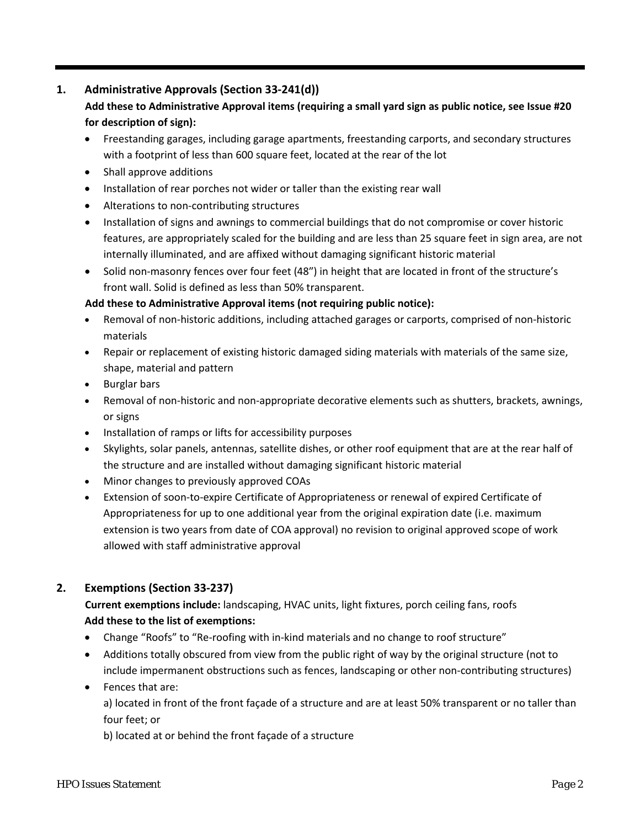# <span id="page-1-0"></span>**1. Administrative Approvals (Section 33-241(d))**

# **Add these to Administrative Approval items (requiring a small yard sign as public notice, see Issue #20 for description of sign):**

- Freestanding garages, including garage apartments, freestanding carports, and secondary structures with a footprint of less than 600 square feet, located at the rear of the lot
- Shall approve additions
- Installation of rear porches not wider or taller than the existing rear wall
- Alterations to non-contributing structures
- Installation of signs and awnings to commercial buildings that do not compromise or cover historic features, are appropriately scaled for the building and are less than 25 square feet in sign area, are not internally illuminated, and are affixed without damaging significant historic material
- Solid non-masonry fences over four feet (48") in height that are located in front of the structure's front wall. Solid is defined as less than 50% transparent.

#### **Add these to Administrative Approval items (not requiring public notice):**

- Removal of non-historic additions, including attached garages or carports, comprised of non-historic materials
- Repair or replacement of existing historic damaged siding materials with materials of the same size, shape, material and pattern
- Burglar bars
- Removal of non-historic and non-appropriate decorative elements such as shutters, brackets, awnings, or signs
- Installation of ramps or lifts for accessibility purposes
- Skylights, solar panels, antennas, satellite dishes, or other roof equipment that are at the rear half of the structure and are installed without damaging significant historic material
- Minor changes to previously approved COAs
- Extension of soon-to-expire Certificate of Appropriateness or renewal of expired Certificate of Appropriateness for up to one additional year from the original expiration date (i.e. maximum extension is two years from date of COA approval) no revision to original approved scope of work allowed with staff administrative approval

#### <span id="page-1-1"></span>**2. Exemptions (Section 33-237)**

**Current exemptions include:** landscaping, HVAC units, light fixtures, porch ceiling fans, roofs **Add these to the list of exemptions:**

- Change "Roofs" to "Re-roofing with in-kind materials and no change to roof structure"
- Additions totally obscured from view from the public right of way by the original structure (not to include impermanent obstructions such as fences, landscaping or other non-contributing structures)
- Fences that are:

a) located in front of the front façade of a structure and are at least 50% transparent or no taller than four feet; or

b) located at or behind the front façade of a structure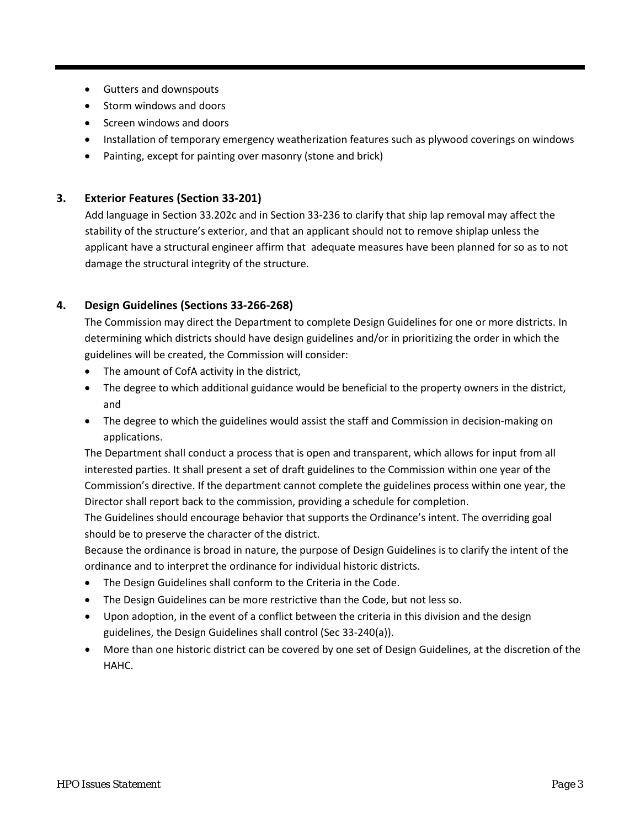- Gutters and downspouts
- Storm windows and doors
- Screen windows and doors
- Installation of temporary emergency weatherization features such as plywood coverings on windows
- Painting, except for painting over masonry (stone and brick)

#### <span id="page-2-0"></span>**3. Exterior Features (Section 33-201)**

Add language in Section 33.202c and in Section 33-236 to clarify that ship lap removal may affect the stability of the structure's exterior, and that an applicant should not to remove shiplap unless the applicant have a structural engineer affirm that adequate measures have been planned for so as to not damage the structural integrity of the structure.

#### <span id="page-2-1"></span>**4. Design Guidelines (Sections 33-266-268)**

The Commission may direct the Department to complete Design Guidelines for one or more districts. In determining which districts should have design guidelines and/or in prioritizing the order in which the guidelines will be created, the Commission will consider:

- The amount of CofA activity in the district,
- The degree to which additional guidance would be beneficial to the property owners in the district, and
- The degree to which the guidelines would assist the staff and Commission in decision-making on applications.

The Department shall conduct a process that is open and transparent, which allows for input from all interested parties. It shall present a set of draft guidelines to the Commission within one year of the Commission's directive. If the department cannot complete the guidelines process within one year, the Director shall report back to the commission, providing a schedule for completion.

The Guidelines should encourage behavior that supports the Ordinance's intent. The overriding goal should be to preserve the character of the district.

Because the ordinance is broad in nature, the purpose of Design Guidelines is to clarify the intent of the ordinance and to interpret the ordinance for individual historic districts.

- The Design Guidelines shall conform to the Criteria in the Code.
- The Design Guidelines can be more restrictive than the Code, but not less so.
- Upon adoption, in the event of a conflict between the criteria in this division and the design guidelines, the Design Guidelines shall control (Sec 33-240(a)).
- More than one historic district can be covered by one set of Design Guidelines, at the discretion of the HAHC.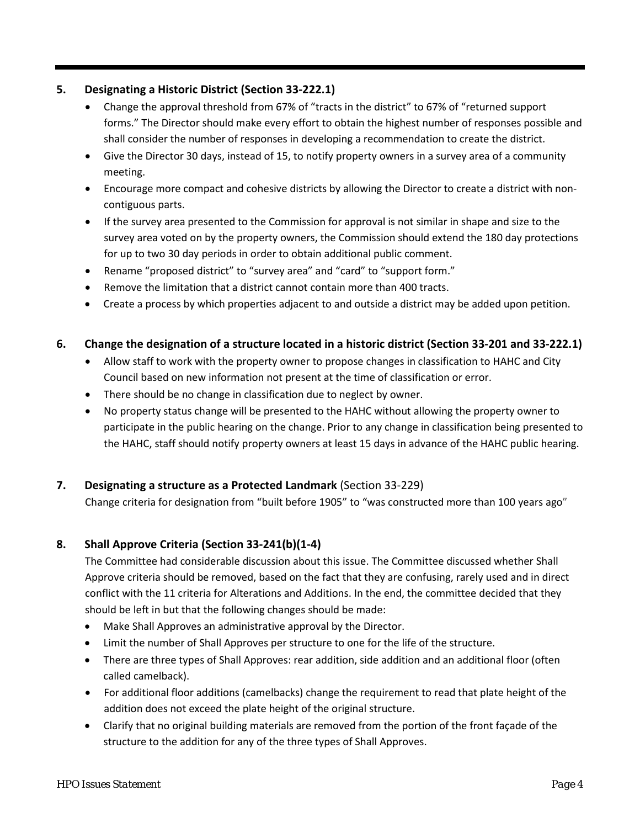#### <span id="page-3-0"></span>**5. Designating a Historic District (Section 33-222.1)**

- Change the approval threshold from 67% of "tracts in the district" to 67% of "returned support forms." The Director should make every effort to obtain the highest number of responses possible and shall consider the number of responses in developing a recommendation to create the district.
- Give the Director 30 days, instead of 15, to notify property owners in a survey area of a community meeting.
- Encourage more compact and cohesive districts by allowing the Director to create a district with noncontiguous parts.
- If the survey area presented to the Commission for approval is not similar in shape and size to the survey area voted on by the property owners, the Commission should extend the 180 day protections for up to two 30 day periods in order to obtain additional public comment.
- Rename "proposed district" to "survey area" and "card" to "support form."
- Remove the limitation that a district cannot contain more than 400 tracts.
- Create a process by which properties adjacent to and outside a district may be added upon petition.

#### <span id="page-3-1"></span>**6. Change the designation of a structure located in a historic district (Section 33-201 and 33-222.1)**

- Allow staff to work with the property owner to propose changes in classification to HAHC and City Council based on new information not present at the time of classification or error.
- There should be no change in classification due to neglect by owner.
- No property status change will be presented to the HAHC without allowing the property owner to participate in the public hearing on the change. Prior to any change in classification being presented to the HAHC, staff should notify property owners at least 15 days in advance of the HAHC public hearing.

#### <span id="page-3-2"></span>**7. Designating a structure as a Protected Landmark** (Section 33-229)

Change criteria for designation from "built before 1905" to "was constructed more than 100 years ago"

# <span id="page-3-3"></span>**8. Shall Approve Criteria (Section 33-241(b)(1-4)**

The Committee had considerable discussion about this issue. The Committee discussed whether Shall Approve criteria should be removed, based on the fact that they are confusing, rarely used and in direct conflict with the 11 criteria for Alterations and Additions. In the end, the committee decided that they should be left in but that the following changes should be made:

- Make Shall Approves an administrative approval by the Director.
- Limit the number of Shall Approves per structure to one for the life of the structure.
- There are three types of Shall Approves: rear addition, side addition and an additional floor (often called camelback).
- For additional floor additions (camelbacks) change the requirement to read that plate height of the addition does not exceed the plate height of the original structure.
- Clarify that no original building materials are removed from the portion of the front façade of the structure to the addition for any of the three types of Shall Approves.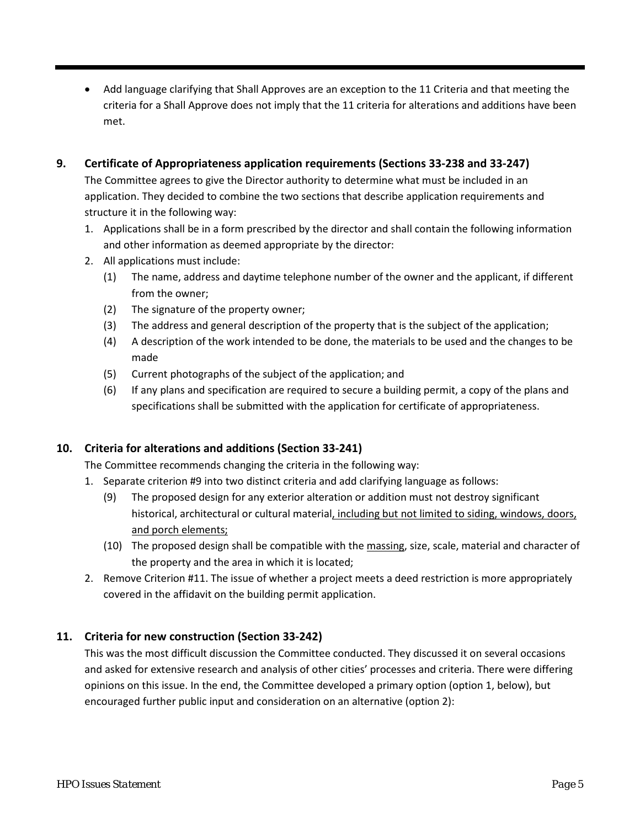• Add language clarifying that Shall Approves are an exception to the 11 Criteria and that meeting the criteria for a Shall Approve does not imply that the 11 criteria for alterations and additions have been met.

#### <span id="page-4-0"></span>**9. Certificate of Appropriateness application requirements (Sections 33-238 and 33-247)**

The Committee agrees to give the Director authority to determine what must be included in an application. They decided to combine the two sections that describe application requirements and structure it in the following way:

- 1. Applications shall be in a form prescribed by the director and shall contain the following information and other information as deemed appropriate by the director:
- 2. All applications must include:
	- (1) The name, address and daytime telephone number of the owner and the applicant, if different from the owner;
	- (2) The signature of the property owner;
	- (3) The address and general description of the property that is the subject of the application;
	- (4) A description of the work intended to be done, the materials to be used and the changes to be made
	- (5) Current photographs of the subject of the application; and
	- (6) If any plans and specification are required to secure a building permit, a copy of the plans and specifications shall be submitted with the application for certificate of appropriateness.

# <span id="page-4-1"></span>**10. Criteria for alterations and additions (Section 33-241)**

The Committee recommends changing the criteria in the following way:

- 1. Separate criterion #9 into two distinct criteria and add clarifying language as follows:
	- (9) The proposed design for any exterior alteration or addition must not destroy significant historical, architectural or cultural material, including but not limited to siding, windows, doors, and porch elements;
	- (10) The proposed design shall be compatible with the massing, size, scale, material and character of the property and the area in which it is located;
- 2. Remove Criterion #11. The issue of whether a project meets a deed restriction is more appropriately covered in the affidavit on the building permit application.

#### <span id="page-4-2"></span>**11. Criteria for new construction (Section 33-242)**

This was the most difficult discussion the Committee conducted. They discussed it on several occasions and asked for extensive research and analysis of other cities' processes and criteria. There were differing opinions on this issue. In the end, the Committee developed a primary option (option 1, below), but encouraged further public input and consideration on an alternative (option 2):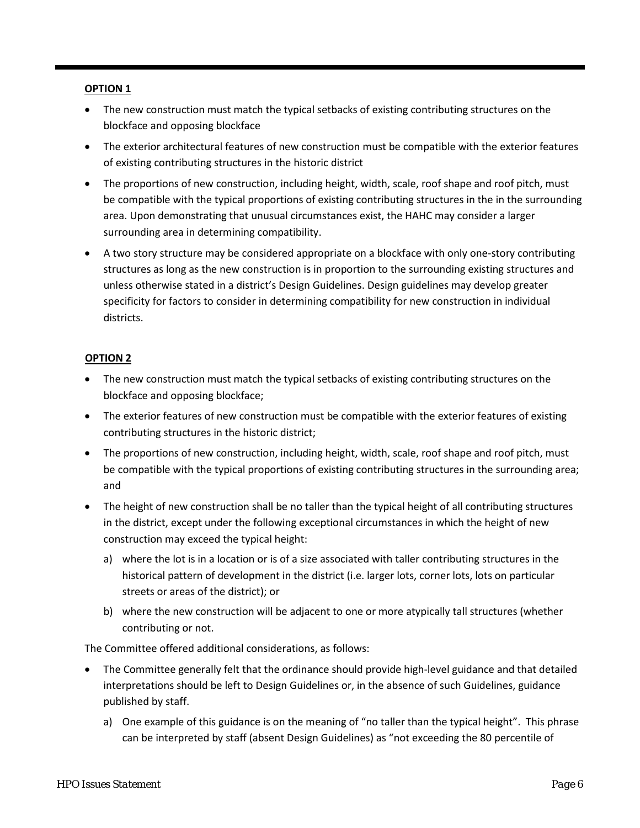#### **OPTION 1**

- The new construction must match the typical setbacks of existing contributing structures on the blockface and opposing blockface
- The exterior architectural features of new construction must be compatible with the exterior features of existing contributing structures in the historic district
- The proportions of new construction, including height, width, scale, roof shape and roof pitch, must be compatible with the typical proportions of existing contributing structures in the in the surrounding area. Upon demonstrating that unusual circumstances exist, the HAHC may consider a larger surrounding area in determining compatibility.
- A two story structure may be considered appropriate on a blockface with only one-story contributing structures as long as the new construction is in proportion to the surrounding existing structures and unless otherwise stated in a district's Design Guidelines. Design guidelines may develop greater specificity for factors to consider in determining compatibility for new construction in individual districts.

#### **OPTION 2**

- The new construction must match the typical setbacks of existing contributing structures on the blockface and opposing blockface;
- The exterior features of new construction must be compatible with the exterior features of existing contributing structures in the historic district;
- The proportions of new construction, including height, width, scale, roof shape and roof pitch, must be compatible with the typical proportions of existing contributing structures in the surrounding area; and
- The height of new construction shall be no taller than the typical height of all contributing structures in the district, except under the following exceptional circumstances in which the height of new construction may exceed the typical height:
	- a) where the lot is in a location or is of a size associated with taller contributing structures in the historical pattern of development in the district (i.e. larger lots, corner lots, lots on particular streets or areas of the district); or
	- b) where the new construction will be adjacent to one or more atypically tall structures (whether contributing or not.

The Committee offered additional considerations, as follows:

- The Committee generally felt that the ordinance should provide high-level guidance and that detailed interpretations should be left to Design Guidelines or, in the absence of such Guidelines, guidance published by staff.
	- a) One example of this guidance is on the meaning of "no taller than the typical height". This phrase can be interpreted by staff (absent Design Guidelines) as "not exceeding the 80 percentile of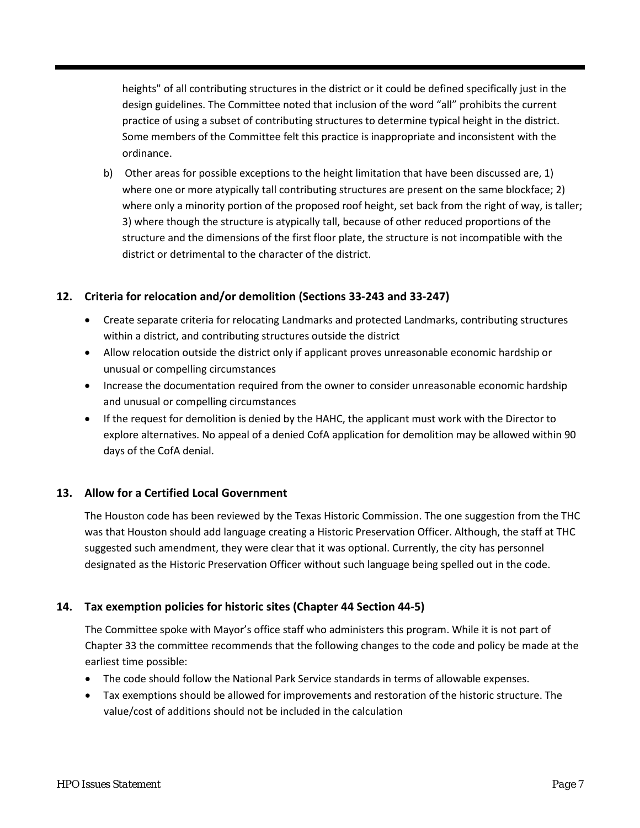heights" of all contributing structures in the district or it could be defined specifically just in the design guidelines. The Committee noted that inclusion of the word "all" prohibits the current practice of using a subset of contributing structures to determine typical height in the district. Some members of the Committee felt this practice is inappropriate and inconsistent with the ordinance.

b) Other areas for possible exceptions to the height limitation that have been discussed are, 1) where one or more atypically tall contributing structures are present on the same blockface; 2) where only a minority portion of the proposed roof height, set back from the right of way, is taller; 3) where though the structure is atypically tall, because of other reduced proportions of the structure and the dimensions of the first floor plate, the structure is not incompatible with the district or detrimental to the character of the district.

#### <span id="page-6-0"></span>**12. Criteria for relocation and/or demolition (Sections 33-243 and 33-247)**

- Create separate criteria for relocating Landmarks and protected Landmarks, contributing structures within a district, and contributing structures outside the district
- Allow relocation outside the district only if applicant proves unreasonable economic hardship or unusual or compelling circumstances
- Increase the documentation required from the owner to consider unreasonable economic hardship and unusual or compelling circumstances
- If the request for demolition is denied by the HAHC, the applicant must work with the Director to explore alternatives. No appeal of a denied CofA application for demolition may be allowed within 90 days of the CofA denial.

#### <span id="page-6-1"></span>**13. Allow for a Certified Local Government**

The Houston code has been reviewed by the Texas Historic Commission. The one suggestion from the THC was that Houston should add language creating a Historic Preservation Officer. Although, the staff at THC suggested such amendment, they were clear that it was optional. Currently, the city has personnel designated as the Historic Preservation Officer without such language being spelled out in the code.

# <span id="page-6-2"></span>**14. Tax exemption policies for historic sites (Chapter 44 Section 44-5)**

The Committee spoke with Mayor's office staff who administers this program. While it is not part of Chapter 33 the committee recommends that the following changes to the code and policy be made at the earliest time possible:

- The code should follow the National Park Service standards in terms of allowable expenses.
- Tax exemptions should be allowed for improvements and restoration of the historic structure. The value/cost of additions should not be included in the calculation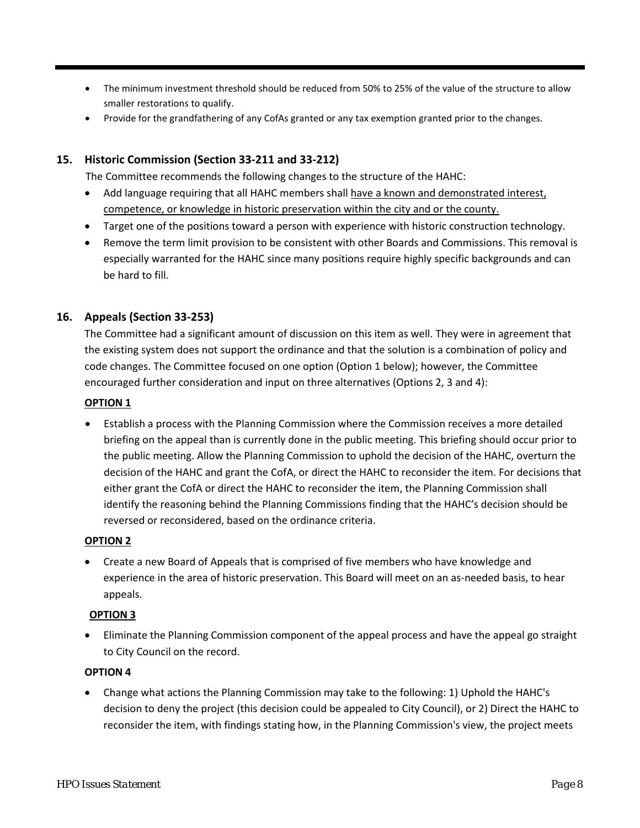- The minimum investment threshold should be reduced from 50% to 25% of the value of the structure to allow smaller restorations to qualify.
- Provide for the grandfathering of any CofAs granted or any tax exemption granted prior to the changes.

#### <span id="page-7-0"></span>**15. Historic Commission (Section 33-211 and 33-212)**

The Committee recommends the following changes to the structure of the HAHC:

- Add language requiring that all HAHC members shall have a known and demonstrated interest, competence, or knowledge in historic preservation within the city and or the county.
- Target one of the positions toward a person with experience with historic construction technology.
- Remove the term limit provision to be consistent with other Boards and Commissions. This removal is especially warranted for the HAHC since many positions require highly specific backgrounds and can be hard to fill.

#### <span id="page-7-1"></span>**16. Appeals (Section 33-253)**

The Committee had a significant amount of discussion on this item as well. They were in agreement that the existing system does not support the ordinance and that the solution is a combination of policy and code changes. The Committee focused on one option (Option 1 below); however, the Committee encouraged further consideration and input on three alternatives (Options 2, 3 and 4):

#### **OPTION 1**

• Establish a process with the Planning Commission where the Commission receives a more detailed briefing on the appeal than is currently done in the public meeting. This briefing should occur prior to the public meeting. Allow the Planning Commission to uphold the decision of the HAHC, overturn the decision of the HAHC and grant the CofA, or direct the HAHC to reconsider the item. For decisions that either grant the CofA or direct the HAHC to reconsider the item, the Planning Commission shall identify the reasoning behind the Planning Commissions finding that the HAHC's decision should be reversed or reconsidered, based on the ordinance criteria.

#### **OPTION 2**

• Create a new Board of Appeals that is comprised of five members who have knowledge and experience in the area of historic preservation. This Board will meet on an as-needed basis, to hear appeals.

#### **OPTION 3**

• Eliminate the Planning Commission component of the appeal process and have the appeal go straight to City Council on the record.

#### **OPTION 4**

• Change what actions the Planning Commission may take to the following: 1) Uphold the HAHC's decision to deny the project (this decision could be appealed to City Council), or 2) Direct the HAHC to reconsider the item, with findings stating how, in the Planning Commission's view, the project meets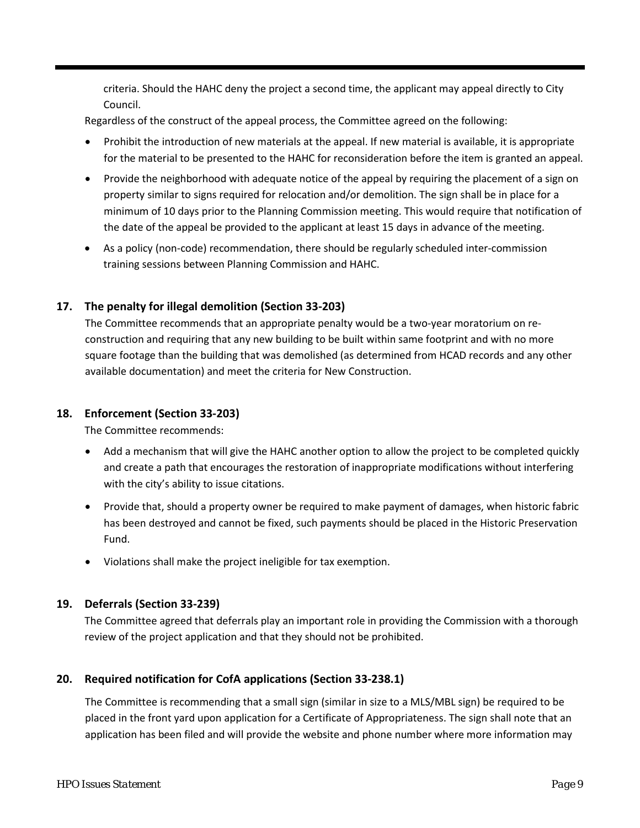criteria. Should the HAHC deny the project a second time, the applicant may appeal directly to City Council.

Regardless of the construct of the appeal process, the Committee agreed on the following:

- Prohibit the introduction of new materials at the appeal. If new material is available, it is appropriate for the material to be presented to the HAHC for reconsideration before the item is granted an appeal.
- Provide the neighborhood with adequate notice of the appeal by requiring the placement of a sign on property similar to signs required for relocation and/or demolition. The sign shall be in place for a minimum of 10 days prior to the Planning Commission meeting. This would require that notification of the date of the appeal be provided to the applicant at least 15 days in advance of the meeting.
- As a policy (non-code) recommendation, there should be regularly scheduled inter-commission training sessions between Planning Commission and HAHC.

#### <span id="page-8-0"></span>**17. The penalty for illegal demolition (Section 33-203)**

The Committee recommends that an appropriate penalty would be a two-year moratorium on reconstruction and requiring that any new building to be built within same footprint and with no more square footage than the building that was demolished (as determined from HCAD records and any other available documentation) and meet the criteria for New Construction.

#### <span id="page-8-1"></span>**18. Enforcement (Section 33-203)**

The Committee recommends:

- Add a mechanism that will give the HAHC another option to allow the project to be completed quickly and create a path that encourages the restoration of inappropriate modifications without interfering with the city's ability to issue citations.
- Provide that, should a property owner be required to make payment of damages, when historic fabric has been destroyed and cannot be fixed, such payments should be placed in the Historic Preservation Fund.
- Violations shall make the project ineligible for tax exemption.

#### <span id="page-8-2"></span>**19. Deferrals (Section 33-239)**

The Committee agreed that deferrals play an important role in providing the Commission with a thorough review of the project application and that they should not be prohibited.

#### <span id="page-8-3"></span>**20. Required notification for CofA applications (Section 33-238.1)**

The Committee is recommending that a small sign (similar in size to a MLS/MBL sign) be required to be placed in the front yard upon application for a Certificate of Appropriateness. The sign shall note that an application has been filed and will provide the website and phone number where more information may